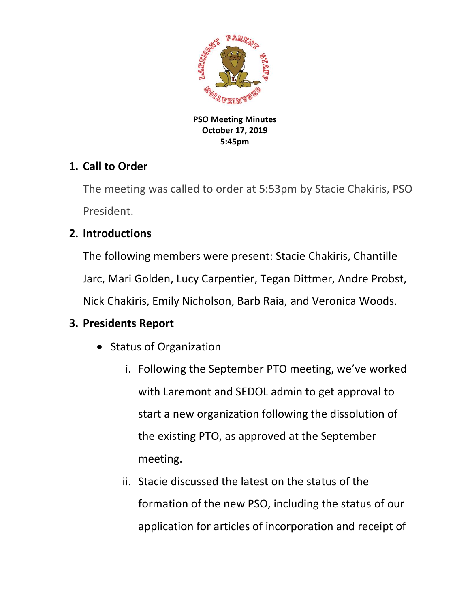

**PSO Meeting Minutes October 17, 2019 5:45pm**

### **1. Call to Order**

The meeting was called to order at 5:53pm by Stacie Chakiris, PSO President.

## **2. Introductions**

The following members were present: Stacie Chakiris, Chantille Jarc, Mari Golden, Lucy Carpentier, Tegan Dittmer, Andre Probst, Nick Chakiris, Emily Nicholson, Barb Raia, and Veronica Woods.

### **3. Presidents Report**

- Status of Organization
	- i. Following the September PTO meeting, we've worked with Laremont and SEDOL admin to get approval to start a new organization following the dissolution of the existing PTO, as approved at the September meeting.
	- ii. Stacie discussed the latest on the status of the formation of the new PSO, including the status of our application for articles of incorporation and receipt of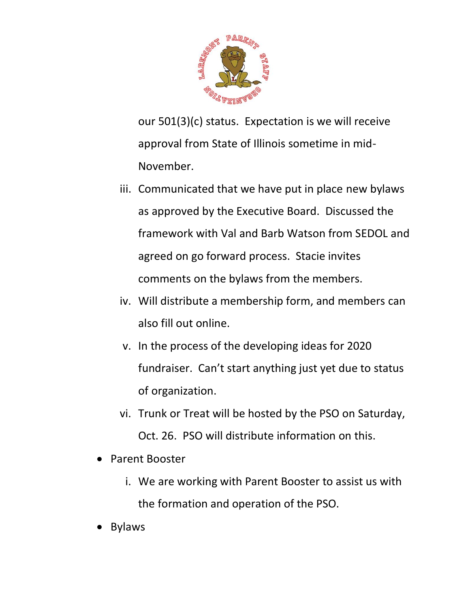

our 501(3)(c) status. Expectation is we will receive approval from State of Illinois sometime in mid-November.

- iii. Communicated that we have put in place new bylaws as approved by the Executive Board. Discussed the framework with Val and Barb Watson from SEDOL and agreed on go forward process. Stacie invites comments on the bylaws from the members.
- iv. Will distribute a membership form, and members can also fill out online.
- v. In the process of the developing ideas for 2020 fundraiser. Can't start anything just yet due to status of organization.
- vi. Trunk or Treat will be hosted by the PSO on Saturday, Oct. 26. PSO will distribute information on this.
- Parent Booster
	- i. We are working with Parent Booster to assist us with the formation and operation of the PSO.
- Bylaws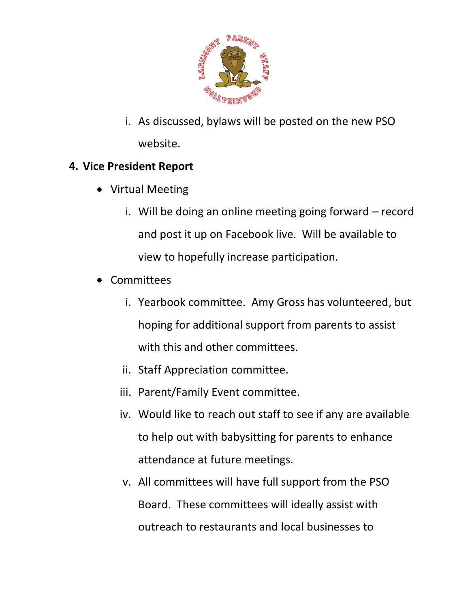

i. As discussed, bylaws will be posted on the new PSO website.

#### **4. Vice President Report**

- Virtual Meeting
	- i. Will be doing an online meeting going forward record and post it up on Facebook live. Will be available to view to hopefully increase participation.
- Committees
	- i. Yearbook committee. Amy Gross has volunteered, but hoping for additional support from parents to assist with this and other committees.
	- ii. Staff Appreciation committee.
	- iii. Parent/Family Event committee.
	- iv. Would like to reach out staff to see if any are available to help out with babysitting for parents to enhance attendance at future meetings.
	- v. All committees will have full support from the PSO Board. These committees will ideally assist with outreach to restaurants and local businesses to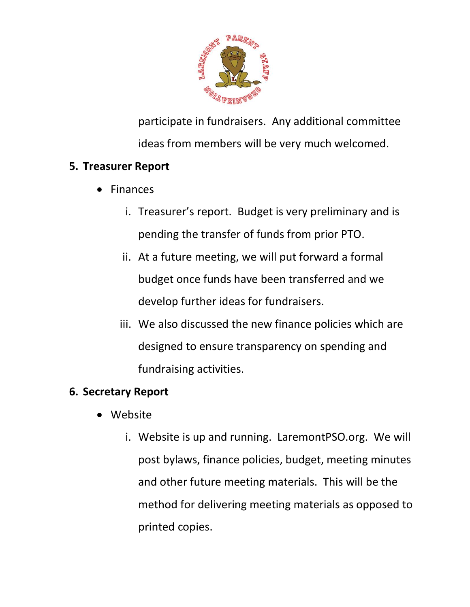

participate in fundraisers. Any additional committee ideas from members will be very much welcomed.

## **5. Treasurer Report**

- Finances
	- i. Treasurer's report. Budget is very preliminary and is pending the transfer of funds from prior PTO.
	- ii. At a future meeting, we will put forward a formal budget once funds have been transferred and we develop further ideas for fundraisers.
	- iii. We also discussed the new finance policies which are designed to ensure transparency on spending and fundraising activities.

# **6. Secretary Report**

- Website
	- i. Website is up and running. LaremontPSO.org. We will post bylaws, finance policies, budget, meeting minutes and other future meeting materials. This will be the method for delivering meeting materials as opposed to printed copies.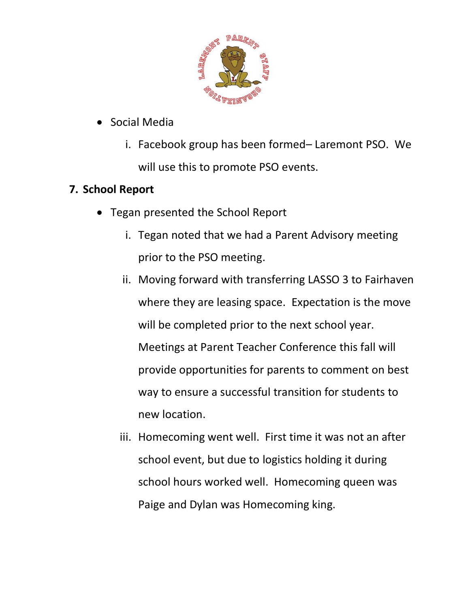

- Social Media
	- i. Facebook group has been formed– Laremont PSO. We will use this to promote PSO events.

# **7. School Report**

- Tegan presented the School Report
	- i. Tegan noted that we had a Parent Advisory meeting prior to the PSO meeting.
	- ii. Moving forward with transferring LASSO 3 to Fairhaven where they are leasing space. Expectation is the move will be completed prior to the next school year. Meetings at Parent Teacher Conference this fall will provide opportunities for parents to comment on best way to ensure a successful transition for students to new location.
	- iii. Homecoming went well. First time it was not an after school event, but due to logistics holding it during school hours worked well. Homecoming queen was Paige and Dylan was Homecoming king.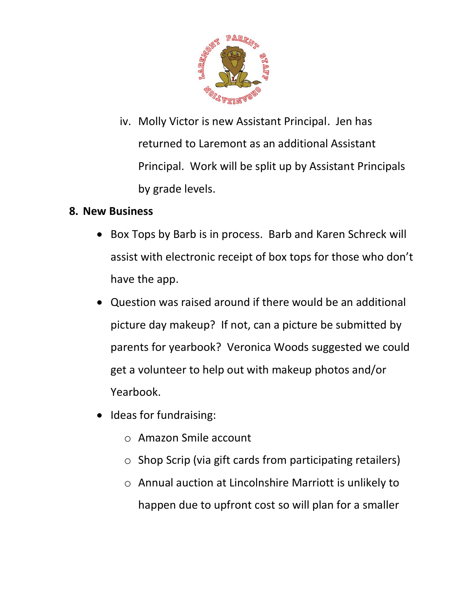

iv. Molly Victor is new Assistant Principal. Jen has returned to Laremont as an additional Assistant Principal. Work will be split up by Assistant Principals by grade levels.

#### **8. New Business**

- Box Tops by Barb is in process. Barb and Karen Schreck will assist with electronic receipt of box tops for those who don't have the app.
- Question was raised around if there would be an additional picture day makeup? If not, can a picture be submitted by parents for yearbook? Veronica Woods suggested we could get a volunteer to help out with makeup photos and/or Yearbook.
- Ideas for fundraising:
	- o Amazon Smile account
	- o Shop Scrip (via gift cards from participating retailers)
	- o Annual auction at Lincolnshire Marriott is unlikely to happen due to upfront cost so will plan for a smaller